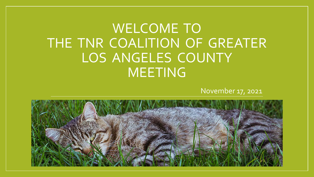# WELCOME TO THE TNR COALITION OF GREATER LOS ANGELES COUNTY MEETING

November 17, 2021

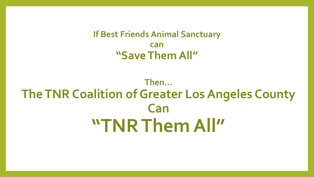**If Best Friends Animal Sanctuary can "Save Them All"**

**Then… The TNR Coalition of Greater Los Angeles County Can "TNR Them All"**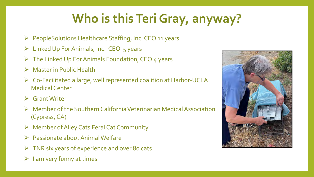# **Who is this Teri Gray, anyway?**

- PeopleSolutions Healthcare Staffing, Inc. CEO 11 years
- $\triangleright$  Linked Up For Animals, Inc. CEO 5 years
- $\triangleright$  The Linked Up For Animals Foundation, CEO 4 years
- Master in Public Health
- Co-Facilitated a large, well represented coalition at Harbor-UCLA Medical Center
- **► Grant Writer**
- Member of the Southern California Veterinarian Medical Association (Cypress, CA)
- Member of Alley Cats Feral Cat Community
- Passionate about Animal Welfare
- $\triangleright$  TNR six years of experience and over 80 cats
- $\triangleright$  I am very funny at times

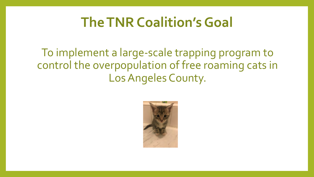# **The TNR Coalition's Goal**

To implement a large-scale trapping program to control the overpopulation of free roaming cats in Los Angeles County.

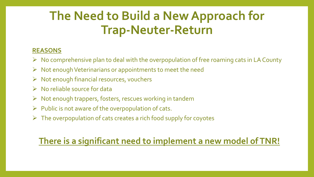## **The Need to Build a New Approach for Trap-Neuter-Return**

#### **REASONS**

- $\triangleright$  No comprehensive plan to deal with the overpopulation of free roaming cats in LA County
- $\triangleright$  Not enough Veterinarians or appointments to meet the need
- $\triangleright$  Not enough financial resources, vouchers
- $\triangleright$  No reliable source for data
- $\triangleright$  Not enough trappers, fosters, rescues working in tandem
- $\triangleright$  Public is not aware of the overpopulation of cats.
- $\triangleright$  The overpopulation of cats creates a rich food supply for coyotes

### **There is a significant need to implement a new model of TNR!**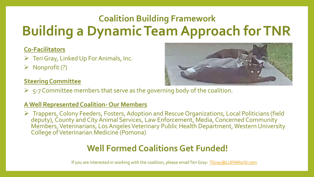### **Coalition Building Framework Building a Dynamic Team Approach for TNR**

#### **Co-Facilitators**

- $\triangleright$  Teri Gray, Linked Up For Animals, Inc.
- $\triangleright$  Nonprofit (?)

#### **Steering Committee**



#### **A Well Represented Coalition- Our Members**

 Trappers, Colony Feeders, Fosters, Adoption and Rescue Organizations, Local Politicians (field deputy), County and City Animal Services, Law Enforcement, Media, Concerned Community Members, Veterinarians, Los Angeles Veterinary Public Health Department, Western University College of Veterinarian Medicine (Pomona)

### **Well Formed Coalitions Get Funded!**

If you are interested in working with the coalition, please email Teri Gray: [TGray@LUFAWorld.com](mailto:TGray@LUFAWorld.com?subject=Interest%20in%20the%20TNR%20Coalition%20of%20Greater%20LA%20County)

![](_page_5_Picture_10.jpeg)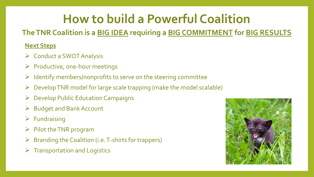# **How to build a Powerful Coalition**

### **The TNR Coalition is a BIG IDEA requiring a BIG COMMITMENT for BIG RESULTS**

#### **Next Steps**

- **► Conduct a SWOT Analysis**
- Productive, one-hour meetings
- $\triangleright$  Identify members/nonprofits to serve on the steering committee
- Develop TNR model for large scale trapping (make the model scalable)
- Develop Public Education Campaigns
- Budget and Bank Account
- $\triangleright$  Fundraising
- $\triangleright$  Pilot the TNR program
- $\triangleright$  Branding the Coalition (i.e. T-shirts for trappers)
- $\triangleright$  Transportation and Logistics

![](_page_6_Picture_13.jpeg)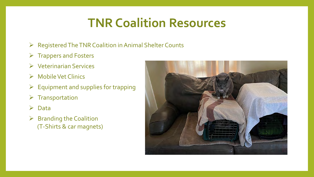## **TNR Coalition Resources**

- $\triangleright$  Registered The TNR Coalition in Animal Shelter Counts
- $\triangleright$  Trappers and Fosters
- Veterinarian Services
- Mobile Vet Clinics
- $\triangleright$  Equipment and supplies for trapping
- $\triangleright$  Transportation
- $\triangleright$  Data
- $\triangleright$  Branding the Coalition (T-Shirts & car magnets)

![](_page_7_Picture_9.jpeg)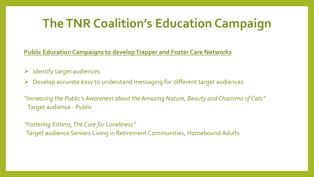## **The TNR Coalition's Education Campaign**

**Public Education Campaigns to develop Trapper and Foster Care Networks**

- $\triangleright$  Identify target audiences
- $\triangleright$  Develop accurate easy to understand messaging for different target audiences

*"Increasing the Public's Awareness about the Amazing Nature, Beauty and Charisma of Cats"* Target audience - Public

*"Fostering Kittens, The Cure for Loneliness"*  Target audience Seniors Living in Retirement Communities, Homebound Adults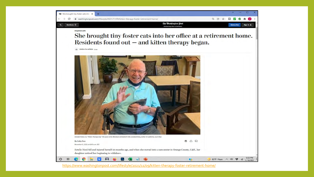![](_page_9_Picture_0.jpeg)

<https://www.washingtonpost.com/lifestyle/2021/11/09/kitten-therapy-foster-retirement-home/>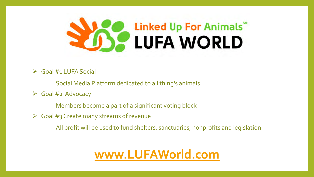![](_page_10_Picture_0.jpeg)

- $\triangleright$  Goal #1 LUFA Social
	- Social Media Platform dedicated to all thing's animals
- $\triangleright$  Goal #2 Advocacy
	- Members become a part of a significant voting block
- $\triangleright$  Goal #3 Create many streams of revenue
	- All profit will be used to fund shelters, sanctuaries, nonprofits and legislation

![](_page_10_Picture_7.jpeg)